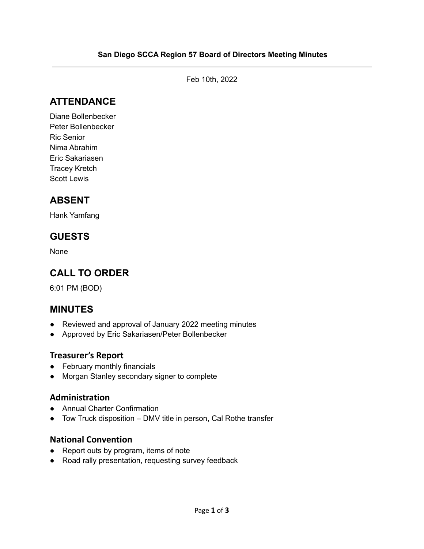Feb 10th, 2022

# **ATTENDANCE**

Diane Bollenbecker Peter Bollenbecker Ric Senior Nima Abrahim Eric Sakariasen Tracey Kretch Scott Lewis

# **ABSENT**

Hank Yamfang

## **GUESTS**

None

# **CALL TO ORDER**

6:01 PM (BOD)

### **MINUTES**

- Reviewed and approval of January 2022 meeting minutes
- Approved by Eric Sakariasen/Peter Bollenbecker

#### **Treasurer's Report**

- February monthly financials
- Morgan Stanley secondary signer to complete

#### **Administration**

- Annual Charter Confirmation
- Tow Truck disposition DMV title in person, Cal Rothe transfer

#### **National Convention**

- Report outs by program, items of note
- Road rally presentation, requesting survey feedback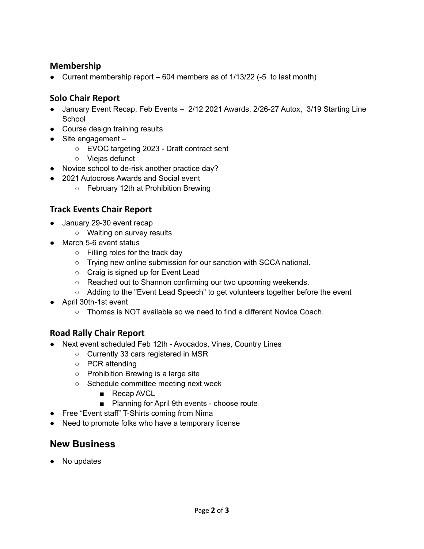#### **Membership**

• Current membership report  $-604$  members as of  $1/13/22$  (-5 to last month)

#### **Solo Chair Report**

- January Event Recap, Feb Events 2/12 2021 Awards, 2/26-27 Autox, 3/19 Starting Line **School**
- Course design training results
- Site engagement
	- EVOC targeting 2023 Draft contract sent
	- Viejas defunct
- Novice school to de-risk another practice day?
- 2021 Autocross Awards and Social event
	- February 12th at Prohibition Brewing

#### **Track Events Chair Report**

- January 29-30 event recap
	- Waiting on survey results
- March 5-6 event status
	- Filling roles for the track day
	- Trying new online submission for our sanction with SCCA national.
	- Craig is signed up for Event Lead
	- Reached out to Shannon confirming our two upcoming weekends.
	- Adding to the "Event Lead Speech" to get volunteers together before the event
- April 30th-1st event
	- $\circ$  Thomas is NOT available so we need to find a different Novice Coach.

#### **Road Rally Chair Report**

- Next event scheduled Feb 12th Avocados, Vines, Country Lines
	- Currently 33 cars registered in MSR
	- PCR attending
	- Prohibition Brewing is a large site
	- Schedule committee meeting next week
		- Recap AVCL
		- Planning for April 9th events choose route
- Free "Event staff" T-Shirts coming from Nima
- Need to promote folks who have a temporary license

### **New Business**

● No updates